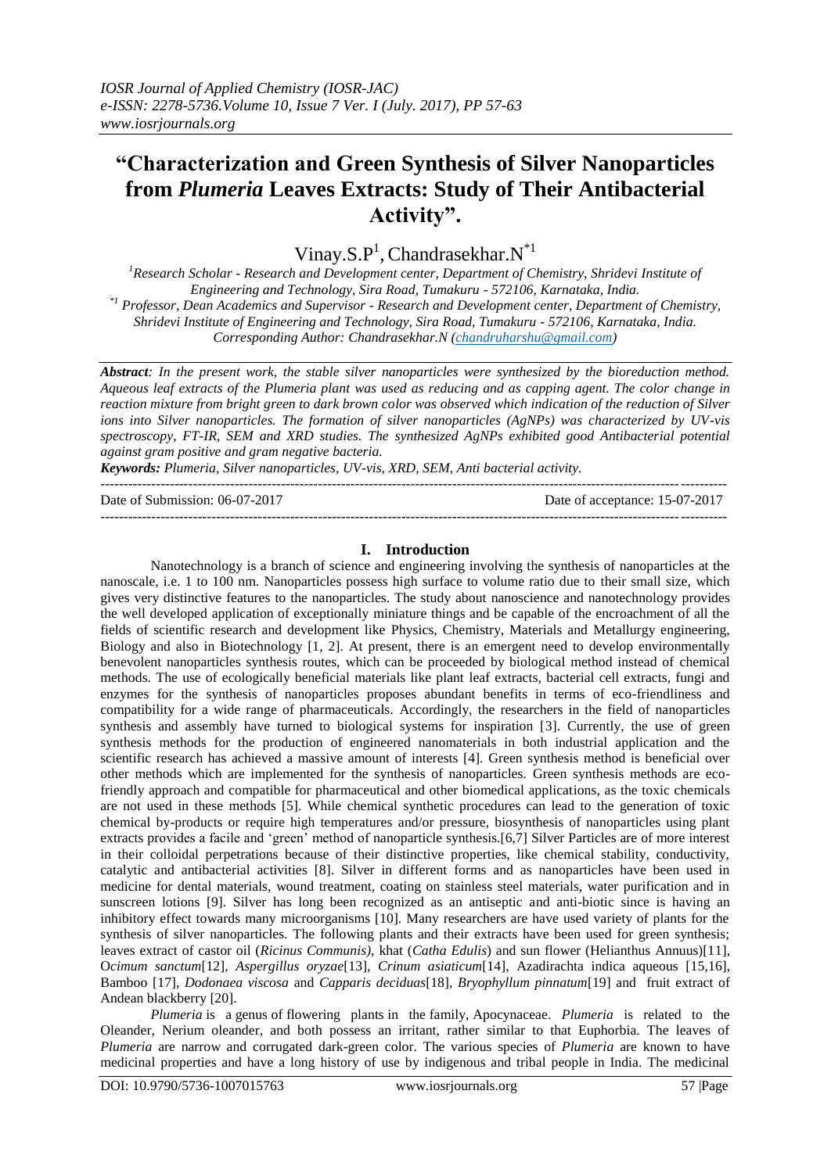# **"Characterization and Green Synthesis of Silver Nanoparticles from** *Plumeria* **Leaves Extracts: Study of Their Antibacterial Activity".**

Vinay.S. $P^1$ , Chandrasekhar. $N^*$ <sup>1</sup>

*<sup>1</sup>Research Scholar - Research and Development center, Department of Chemistry, Shridevi Institute of Engineering and Technology, Sira Road, Tumakuru - 572106, Karnataka, India. \*1 Professor, Dean Academics and Supervisor - Research and Development center, Department of Chemistry, Shridevi Institute of Engineering and Technology, Sira Road, Tumakuru - 572106, Karnataka, India. Corresponding Author: Chandrasekhar.N [\(chandruharshu@gmail.com\)](mailto:chandruharshu@gmail.com)*

*Abstract: In the present work, the stable silver nanoparticles were synthesized by the bioreduction method. Aqueous leaf extracts of the Plumeria plant was used as reducing and as capping agent. The color change in reaction mixture from bright green to dark brown color was observed which indication of the reduction of Silver ions into Silver nanoparticles. The formation of silver nanoparticles (AgNPs) was characterized by UV-vis spectroscopy, FT-IR, SEM and XRD studies. The synthesized AgNPs exhibited good Antibacterial potential against gram positive and gram negative bacteria.*

*Keywords: Plumeria, Silver nanoparticles, UV-vis, XRD, SEM, Anti bacterial activity.* ---------------------------------------------------------------------------------------------------------------------------------------

Date of Submission: 06-07-2017 Date of acceptance: 15-07-2017 ---------------------------------------------------------------------------------------------------------------------------------------

## **I. Introduction**

Nanotechnology is a branch of science and engineering involving the synthesis of nanoparticles at the nanoscale, i.e. 1 to 100 nm. Nanoparticles possess high surface to volume ratio due to their small size, which gives very distinctive features to the nanoparticles. The study about nanoscience and nanotechnology provides the well developed application of exceptionally miniature things and be capable of the encroachment of all the fields of scientific research and development like Physics, Chemistry, Materials and Metallurgy engineering, Biology and also in Biotechnology [1, 2]. At present, there is an emergent need to develop environmentally benevolent nanoparticles synthesis routes, which can be proceeded by biological method instead of chemical methods. The use of ecologically beneficial materials like plant leaf extracts, bacterial cell extracts, fungi and enzymes for the synthesis of nanoparticles proposes abundant benefits in terms of eco-friendliness and compatibility for a wide range of pharmaceuticals. Accordingly, the researchers in the field of nanoparticles synthesis and assembly have turned to biological systems for inspiration [3]. Currently, the use of green synthesis methods for the production of engineered nanomaterials in both industrial application and the scientific research has achieved a massive amount of interests [4]. Green synthesis method is beneficial over other methods which are implemented for the synthesis of nanoparticles. Green synthesis methods are ecofriendly approach and compatible for pharmaceutical and other biomedical applications, as the toxic chemicals are not used in these methods [5]. While chemical synthetic procedures can lead to the generation of toxic chemical by-products or require high temperatures and/or pressure, biosynthesis of nanoparticles using plant extracts provides a facile and "green" method of nanoparticle synthesis.[6,7] Silver Particles are of more interest in their colloidal perpetrations because of their distinctive properties, like chemical stability, conductivity, catalytic and antibacterial activities [8]. Silver in different forms and as nanoparticles have been used in medicine for dental materials, wound treatment, coating on stainless steel materials, water purification and in sunscreen lotions [9]. Silver has long been recognized as an antiseptic and anti-biotic since is having an inhibitory effect towards many microorganisms [10]. Many researchers are have used variety of plants for the synthesis of silver nanoparticles. The following plants and their extracts have been used for green synthesis; leaves extract of castor oil (*Ricinus Communis)*, khat (*Catha Edulis*) and sun flower (Helianthus Annuus)[11], O*cimum sanctum*[12]*, Aspergillus oryzae*[13]*, Crinum asiaticum*[14], Azadirachta indica aqueous [15,16], Bamboo [17], *Dodonaea viscosa* and *Capparis deciduas*[18], *Bryophyllum pinnatum*[19] and fruit extract of Andean blackberry [20].

*Plumeria* is a [genus](https://en.wikipedia.org/wiki/Genus) of [flowering plants](https://en.wikipedia.org/wiki/Flowering_plant) in the family, [Apocynaceae.](https://en.wikipedia.org/wiki/Apocynaceae) *Plumeria* is related to the Oleander, Nerium oleander, and both possess an irritant, rather similar to that Euphorbia. The leaves of *Plumeria* are narrow and corrugated dark-green color. The various species of *Plumeria* are known to have medicinal properties and have a long history of use by indigenous and tribal people in India. The medicinal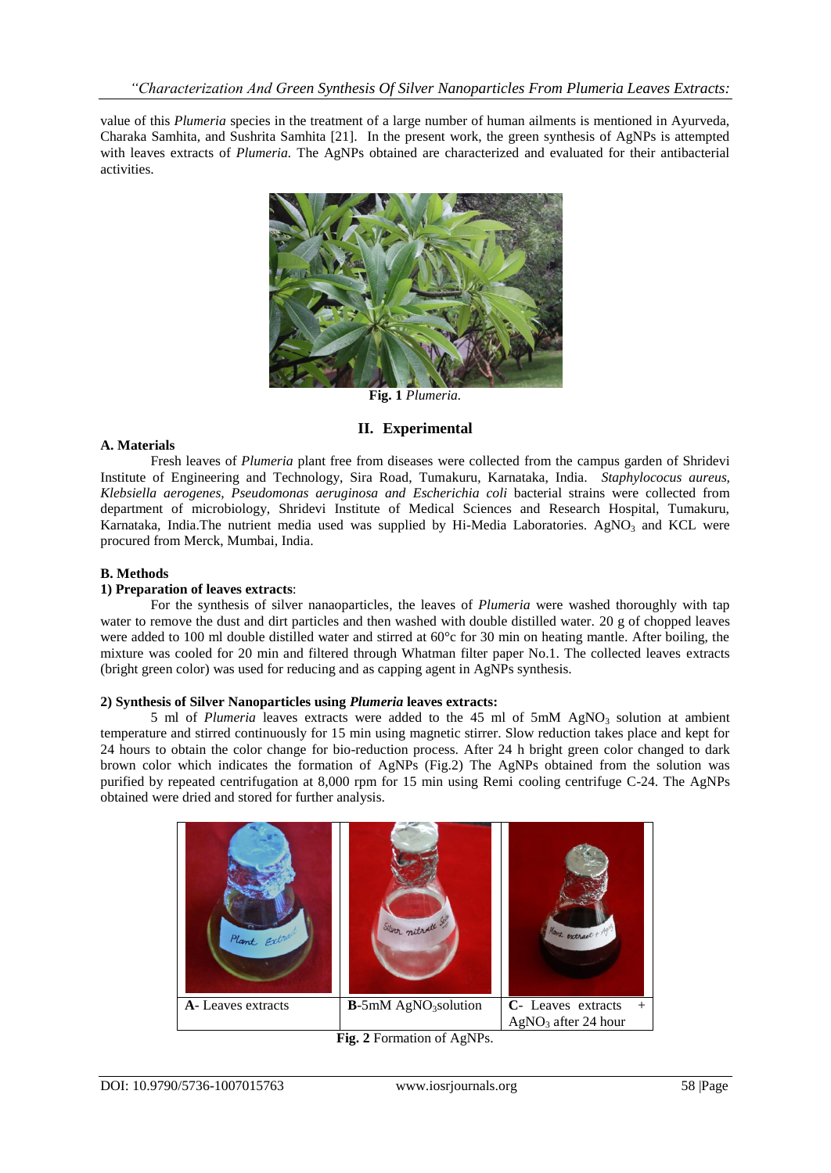value of this *Plumeria* species in the treatment of a large number of human ailments is mentioned in Ayurveda, Charaka Samhita, and Sushrita Samhita [21]. In the present work, the green synthesis of AgNPs is attempted with leaves extracts of *Plumeria.* The AgNPs obtained are characterized and evaluated for their antibacterial activities.



**Fig. 1** *Plumeria.*

## **II. Experimental**

#### **A. Materials**

Fresh leaves of *Plumeria* plant free from diseases were collected from the campus garden of Shridevi Institute of Engineering and Technology, Sira Road, Tumakuru, Karnataka, India. *Staphylococus aureus, Klebsiella aerogenes, Pseudomonas aeruginosa and Escherichia coli* bacterial strains were collected from department of microbiology, Shridevi Institute of Medical Sciences and Research Hospital, Tumakuru, Karnataka, India.The nutrient media used was supplied by Hi-Media Laboratories. AgNO<sub>3</sub> and KCL were procured from Merck, Mumbai, India.

#### **B. Methods**

#### **1) Preparation of leaves extracts**:

For the synthesis of silver nanaoparticles, the leaves of *Plumeria* were washed thoroughly with tap water to remove the dust and dirt particles and then washed with double distilled water. 20 g of chopped leaves were added to 100 ml double distilled water and stirred at 60°c for 30 min on heating mantle. After boiling, the mixture was cooled for 20 min and filtered through Whatman filter paper No.1. The collected leaves extracts (bright green color) was used for reducing and as capping agent in AgNPs synthesis.

#### **2) Synthesis of Silver Nanoparticles using** *Plumeria* **leaves extracts:**

5 ml of *Plumeria* leaves extracts were added to the 45 ml of 5mM AgNO<sub>3</sub> solution at ambient temperature and stirred continuously for 15 min using magnetic stirrer. Slow reduction takes place and kept for 24 hours to obtain the color change for bio-reduction process. After 24 h bright green color changed to dark brown color which indicates the formation of AgNPs (Fig.2) The AgNPs obtained from the solution was purified by repeated centrifugation at 8,000 rpm for 15 min using Remi cooling centrifuge C-24. The AgNPs obtained were dried and stored for further analysis.



**Fig. 2** Formation of AgNPs.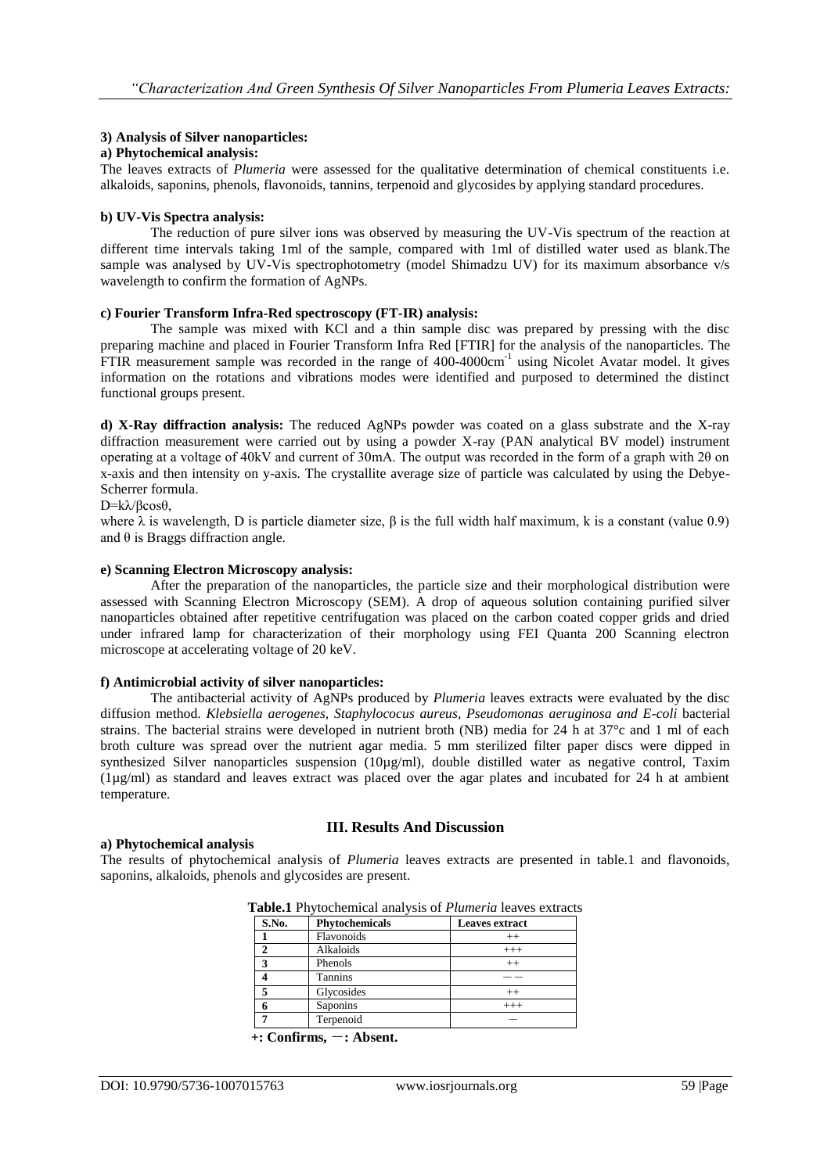## **3) Analysis of Silver nanoparticles:**

#### **a) Phytochemical analysis:**

The leaves extracts of *Plumeria* were assessed for the qualitative determination of chemical constituents i.e. alkaloids, saponins, phenols, flavonoids, tannins, terpenoid and glycosides by applying standard procedures.

#### **b) UV-Vis Spectra analysis:**

The reduction of pure silver ions was observed by measuring the UV-Vis spectrum of the reaction at different time intervals taking 1ml of the sample, compared with 1ml of distilled water used as blank.The sample was analysed by UV-Vis spectrophotometry (model Shimadzu UV) for its maximum absorbance v/s wavelength to confirm the formation of AgNPs.

#### **c) Fourier Transform Infra-Red spectroscopy (FT-IR) analysis:**

The sample was mixed with KCl and a thin sample disc was prepared by pressing with the disc preparing machine and placed in Fourier Transform Infra Red [FTIR] for the analysis of the nanoparticles. The FTIR measurement sample was recorded in the range of 400-4000cm<sup>-1</sup> using Nicolet Avatar model. It gives information on the rotations and vibrations modes were identified and purposed to determined the distinct functional groups present.

**d) X-Ray diffraction analysis:** The reduced AgNPs powder was coated on a glass substrate and the X-ray diffraction measurement were carried out by using a powder X-ray (PAN analytical BV model) instrument operating at a voltage of 40kV and current of 30mA. The output was recorded in the form of a graph with 2θ on x-axis and then intensity on y-axis. The crystallite average size of particle was calculated by using the Debye-Scherrer formula.

#### D=kλ/βcosθ,

where  $\lambda$  is wavelength, D is particle diameter size,  $\beta$  is the full width half maximum, k is a constant (value 0.9) and  $\theta$  is Braggs diffraction angle.

#### **e) Scanning Electron Microscopy analysis:**

After the preparation of the nanoparticles, the particle size and their morphological distribution were assessed with Scanning Electron Microscopy (SEM). A drop of aqueous solution containing purified silver nanoparticles obtained after repetitive centrifugation was placed on the carbon coated copper grids and dried under infrared lamp for characterization of their morphology using FEI Quanta 200 Scanning electron microscope at accelerating voltage of 20 keV.

#### **f) Antimicrobial activity of silver nanoparticles:**

The antibacterial activity of AgNPs produced by *Plumeria* leaves extracts were evaluated by the disc diffusion method. *Klebsiella aerogenes, Staphylococus aureus, Pseudomonas aeruginosa and E-coli* bacterial strains. The bacterial strains were developed in nutrient broth (NB) media for 24 h at 37°c and 1 ml of each broth culture was spread over the nutrient agar media. 5 mm sterilized filter paper discs were dipped in synthesized Silver nanoparticles suspension (10µg/ml), double distilled water as negative control, Taxim (1µg/ml) as standard and leaves extract was placed over the agar plates and incubated for 24 h at ambient temperature.

## **a) Phytochemical analysis**

## **III. Results And Discussion**

The results of phytochemical analysis of *Plumeria* leaves extracts are presented in table.1 and flavonoids, saponins, alkaloids, phenols and glycosides are present.

| S.No. | <b>Phytochemicals</b> | <b>Leaves extract</b> |
|-------|-----------------------|-----------------------|
|       | Flavonoids            | $^{++}$               |
|       | Alkaloids             | $^{+++}$              |
|       | Phenols               | $^{++}$               |
|       | <b>Tannins</b>        |                       |
|       | Glycosides            | $^{++}$               |
|       | Saponins              | $^{+++}$              |
|       | Terpenoid             |                       |

**Table.1** Phytochemical analysis of *Plumeria* leaves extracts

<sup>+</sup>**:** Confirms, -**:** Absent.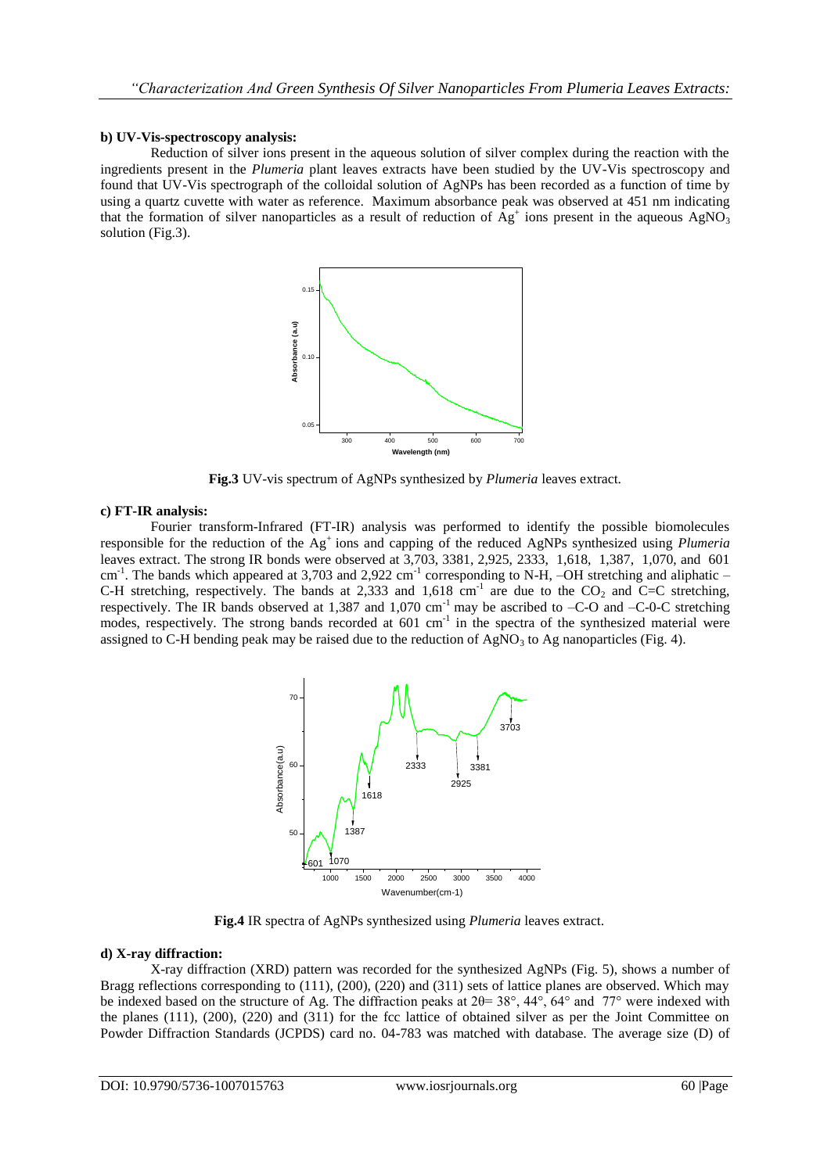#### **b) UV-Vis-spectroscopy analysis:**

Reduction of silver ions present in the aqueous solution of silver complex during the reaction with the ingredients present in the *Plumeria* plant leaves extracts have been studied by the UV-Vis spectroscopy and found that UV-Vis spectrograph of the colloidal solution of AgNPs has been recorded as a function of time by using a quartz cuvette with water as reference. Maximum absorbance peak was observed at 451 nm indicating that the formation of silver nanoparticles as a result of reduction of  $\overline{Ag}^+$  ions present in the aqueous  $AgNO_3$ solution (Fig.3).



**Fig.3** UV-vis spectrum of AgNPs synthesized by *Plumeria* leaves extract.

#### **c) FT-IR analysis:**

Fourier transform-Infrared (FT-IR) analysis was performed to identify the possible biomolecules responsible for the reduction of the Ag<sup>+</sup>ions and capping of the reduced AgNPs synthesized using *Plumeria* leaves extract. The strong IR bonds were observed at 3,703, 3381, 2,925, 2333, 1,618, 1,387, 1,070, and 601 cm<sup>-1</sup>. The bands which appeared at 3,703 and 2,922 cm<sup>-1</sup> corresponding to N-H, -OH stretching and aliphatic -C-H stretching, respectively. The bands at 2,333 and 1,618 cm<sup>-1</sup> are due to the  $CO_2$  and C=C stretching, respectively. The IR bands observed at 1,387 and 1,070 cm<sup>-1</sup> may be ascribed to  $-C$ -O and  $-C$ -0-C stretching modes, respectively. The strong bands recorded at 601 cm<sup>-1</sup> in the spectra of the synthesized material were assigned to C-H bending peak may be raised due to the reduction of  $AgNO<sub>3</sub>$  to Ag nanoparticles (Fig. 4).



**Fig.4** IR spectra of AgNPs synthesized using *Plumeria* leaves extract.

## **d) X-ray diffraction:**

X-ray diffraction (XRD) pattern was recorded for the synthesized AgNPs (Fig. 5), shows a number of Bragg reflections corresponding to (111), (200), (220) and (311) sets of lattice planes are observed. Which may be indexed based on the structure of Ag. The diffraction peaks at 2θ= 38°, 44°, 64° and 77° were indexed with the planes (111), (200), (220) and (311) for the fcc lattice of obtained silver as per the Joint Committee on Powder Diffraction Standards (JCPDS) card no. 04-783 was matched with database. The average size (D) of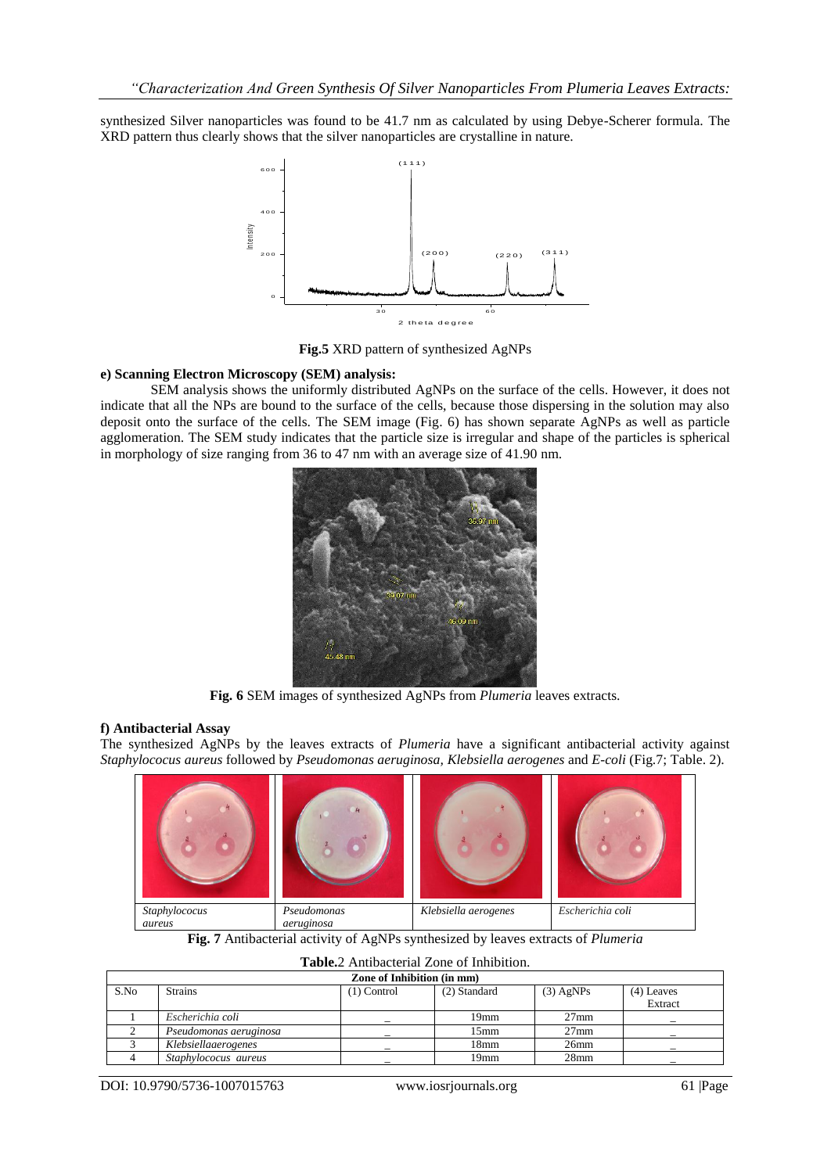synthesized Silver nanoparticles was found to be 41.7 nm as calculated by using Debye-Scherer formula. The XRD pattern thus clearly shows that the silver nanoparticles are crystalline in nature.



**Fig.5** XRD pattern of synthesized AgNPs

#### **e) Scanning Electron Microscopy (SEM) analysis:**

SEM analysis shows the uniformly distributed AgNPs on the surface of the cells. However, it does not indicate that all the NPs are bound to the surface of the cells, because those dispersing in the solution may also deposit onto the surface of the cells. The SEM image (Fig. 6) has shown separate AgNPs as well as particle agglomeration. The SEM study indicates that the particle size is irregular and shape of the particles is spherical in morphology of size ranging from 36 to 47 nm with an average size of 41.90 nm.



**Fig. 6** SEM images of synthesized AgNPs from *Plumeria* leaves extracts.

#### **f) Antibacterial Assay**

The synthesized AgNPs by the leaves extracts of *Plumeria* have a significant antibacterial activity against *Staphylococus aureus* followed by *Pseudomonas aeruginosa, Klebsiella aerogenes* and *E-coli* (Fig.7; Table. 2).



**Fig. 7** Antibacterial activity of AgNPs synthesized by leaves extracts of *Plumeria*

| Zone of Inhibition (in mm) |                        |               |                  |             |              |  |  |
|----------------------------|------------------------|---------------|------------------|-------------|--------------|--|--|
| S.No                       | <b>Strains</b>         | $(1)$ Control | (2) Standard     | $(3)$ AgNPs | $(4)$ Leaves |  |  |
|                            |                        |               |                  |             | Extract      |  |  |
|                            | Escherichia coli       |               | 19 <sub>mm</sub> | $27$ mm     |              |  |  |
|                            | Pseudomonas aeruginosa |               | $15 \text{mm}$   | $27$ mm     |              |  |  |
|                            | Klebsiellaaerogenes    |               | 18 <sub>mm</sub> | $26$ mm     |              |  |  |
|                            | Staphylococus aureus   |               | 19mm             | $28$ mm     |              |  |  |

## **Table.**2 Antibacterial Zone of Inhibition.

DOI: 10.9790/5736-1007015763 www.iosrjournals.org 61 |Page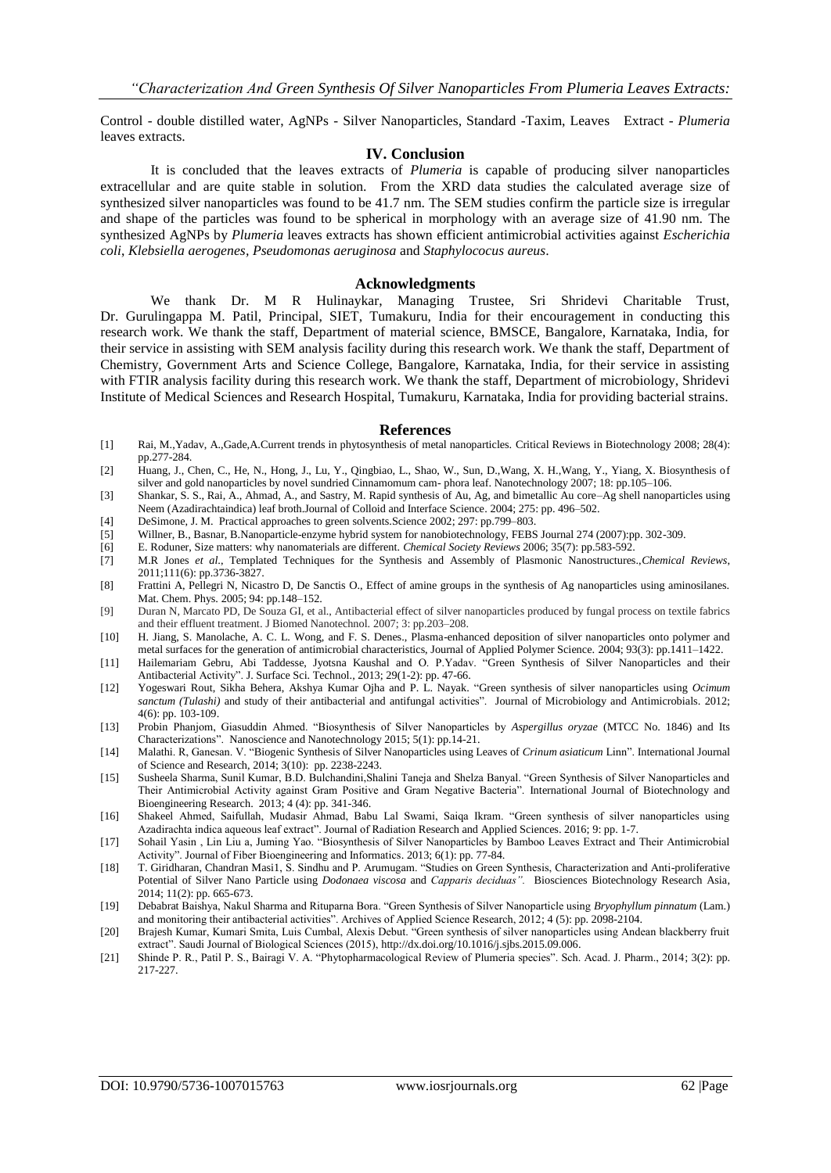Control - double distilled water, AgNPs - Silver Nanoparticles, Standard -Taxim, Leaves Extract - *Plumeria* leaves extracts.

#### **IV. Conclusion**

It is concluded that the leaves extracts of *Plumeria* is capable of producing silver nanoparticles extracellular and are quite stable in solution. From the XRD data studies the calculated average size of synthesized silver nanoparticles was found to be 41.7 nm. The SEM studies confirm the particle size is irregular and shape of the particles was found to be spherical in morphology with an average size of 41.90 nm. The synthesized AgNPs by *Plumeria* leaves extracts has shown efficient antimicrobial activities against *Escherichia coli*, *Klebsiella aerogenes, Pseudomonas aeruginosa* and *Staphylococus aureus*.

#### **Acknowledgments**

We thank Dr. M R Hulinaykar, Managing Trustee, Sri Shridevi Charitable Trust, Dr. Gurulingappa M. Patil, Principal, SIET, Tumakuru, India for their encouragement in conducting this research work. We thank the staff, Department of material science, BMSCE, Bangalore, Karnataka, India, for their service in assisting with SEM analysis facility during this research work. We thank the staff, Department of Chemistry, Government Arts and Science College, Bangalore, Karnataka, India, for their service in assisting with FTIR analysis facility during this research work. We thank the staff, Department of microbiology, Shridevi Institute of Medical Sciences and Research Hospital, Tumakuru, Karnataka, India for providing bacterial strains.

#### **References**

- [1] Rai, M.,Yadav, A.,Gade,A.Current trends in phytosynthesis of metal nanoparticles. Critical Reviews in Biotechnology 2008; 28(4): pp.277-284.
- [2] Huang, J., Chen, C., He, N., Hong, J., Lu, Y., Qingbiao, L., Shao, W., Sun, D.,Wang, X. H.,Wang, Y., Yiang, X. Biosynthesis of silver and gold nanoparticles by novel sundried Cinnamomum cam- phora leaf. Nanotechnology 2007; 18: pp.105–106.
- [3] Shankar, S. S., Rai, A., Ahmad, A., and Sastry, M. Rapid synthesis of Au, Ag, and bimetallic Au core–Ag shell nanoparticles using Neem (Azadirachtaindica) leaf broth.Journal of Colloid and Interface Science. 2004; 275: pp. 496–502.
- [4] DeSimone, J. M. Practical approaches to green solvents.Science 2002; 297: pp.799–803.
- [5] Willner, B., Basnar, B.Nanoparticle-enzyme hybrid system for nanobiotechnology, FEBS Journal 274 (2007):pp. 302-309.
- [6] E. Roduner, Size matters: why nanomaterials are different. *Chemical Society Reviews* 2006; 35(7): pp.583-592.
- [7] M.R Jones *et al*., Templated Techniques for the Synthesis and Assembly of Plasmonic Nanostructures.,*Chemical Reviews*, 2011;111(6): pp.3736-3827.
- [8] Frattini A, Pellegri N, Nicastro D, De Sanctis O., Effect of amine groups in the synthesis of Ag nanoparticles using aminosilanes. Mat. Chem. Phys. 2005; 94: pp.148–152.
- [9] Duran N, Marcato PD, De Souza GI, et al., Antibacterial effect of silver nanoparticles produced by fungal process on textile fabrics and their effluent treatment. J Biomed Nanotechnol. 2007; 3: pp.203–208.
- [10] H. Jiang, S. Manolache, A. C. L. Wong, and F. S. Denes., Plasma-enhanced deposition of silver nanoparticles onto polymer and metal surfaces for the generation of antimicrobial characteristics, Journal of Applied Polymer Science. 2004; 93(3): pp.1411–1422.
- [11] Hailemariam Gebru, Abi Taddesse, Jyotsna Kaushal and O. P.Yadav. "Green Synthesis of Silver Nanoparticles and their Antibacterial Activity". J. Surface Sci. Technol., 2013; 29(1-2): pp. 47-66.
- [12] Yogeswari Rout, Sikha Behera, Akshya Kumar Ojha and P. L. Nayak. "Green synthesis of silver nanoparticles using *Ocimum sanctum (Tulashi)* and study of their antibacterial and antifungal activities". Journal of Microbiology and Antimicrobials. 2012; 4(6): pp. 103-109.
- [13] Probin Phanjom, Giasuddin Ahmed. "Biosynthesis of Silver Nanoparticles by *Aspergillus oryzae* (MTCC No. 1846) and Its Characterizations". Nanoscience and Nanotechnology 2015; 5(1): pp.14-21.
- [14] Malathi. R, Ganesan. V. "Biogenic Synthesis of Silver Nanoparticles using Leaves of *Crinum asiaticum* Linn". International Journal of Science and Research, 2014; 3(10): pp. 2238-2243.
- [15] Susheela Sharma, Sunil Kumar, B.D. Bulchandini,Shalini Taneja and Shelza Banyal. "Green Synthesis of Silver Nanoparticles and Their Antimicrobial Activity against Gram Positive and Gram Negative Bacteria". International Journal of Biotechnology and Bioengineering Research. 2013; 4 (4): pp. 341-346.
- [16] Shakeel Ahmed, Saifullah, Mudasir Ahmad, Babu Lal Swami, Saiqa Ikram. "Green synthesis of silver nanoparticles using Azadirachta indica aqueous leaf extract". Journal of Radiation Research and Applied Sciences. 2016; 9: pp. 1-7.
- [17] Sohail Yasin , Lin Liu a, Juming Yao. "Biosynthesis of Silver Nanoparticles by Bamboo Leaves Extract and Their Antimicrobial Activity". Journal of Fiber Bioengineering and Informatics. 2013; 6(1): pp. 77-84.
- [18] T. Giridharan, Chandran Masi1, S. Sindhu and P. Arumugam. "Studies on Green Synthesis, Characterization and Anti-proliferative Potential of Silver Nano Particle using *Dodonaea viscosa* and *Capparis deciduas".* Biosciences Biotechnology Research Asia, 2014; 11(2): pp. 665-673.
- [19] Debabrat Baishya, Nakul Sharma and Rituparna Bora. "Green Synthesis of Silver Nanoparticle using *Bryophyllum pinnatum* (Lam.) and monitoring their antibacterial activities". Archives of Applied Science Research, 2012; 4 (5): pp. 2098-2104.
- [20] Brajesh Kumar, Kumari Smita, Luis Cumbal, Alexis Debut. "Green synthesis of silver nanoparticles using Andean blackberry fruit extract". Saudi Journal of Biological Sciences (2015)[, http://dx.doi.org/10.1016/j.sjbs.2015.09.006.](http://dx.doi.org/10.1016/j.sjbs.2015.09.006)
- [21] Shinde P. R., Patil P. S., Bairagi V. A. "Phytopharmacological Review of Plumeria species". Sch. Acad. J. Pharm., 2014; 3(2): pp. 217-227.